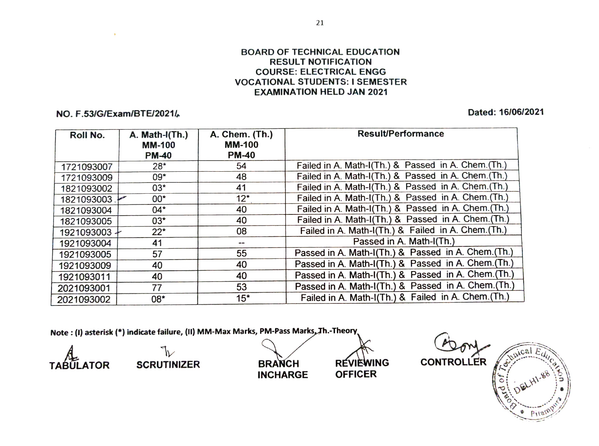## BOARD OF TECHNICAL EDUCATION RESULT NOTIFICATION COURSE: ELECTRICAL ENGG VOCATIONAL STUDENTS: I SEMESTER EXAMINATION HELD JAN 2021

## NO. F.53/G/Exam/BTE/2021/ Dated: 16/06/2021

| Roll No.     | A. Math-I(Th.)<br><b>MM-100</b><br><b>PM-40</b> | A. Chem. (Th.)<br><b>MM-100</b><br><b>PM-40</b> | <b>Result/Performance</b>                           |
|--------------|-------------------------------------------------|-------------------------------------------------|-----------------------------------------------------|
| 1721093007   | $28*$                                           | 54                                              | Failed in A. Math-I(Th.) & Passed in A. Chem.(Th.)  |
| 1721093009   | 09*                                             | 48                                              | Failed in A. Math-I(Th.) & Passed in A. Chem.(Th.)  |
| 1821093002   | $03*$                                           | 41                                              | Failed in A. Math-I(Th.) & Passed in A. Chem.(Th.)  |
| 1821093003   | $00*$                                           | $12*$                                           | Failed in A. Math-I(Th.) & Passed in A. Chem. (Th.) |
| 1821093004   | $04*$                                           | 40                                              | Failed in A. Math-I(Th.) & Passed in A. Chem. (Th.) |
| 1821093005   | $03*$                                           | 40                                              | Failed in A. Math-I(Th.) & Passed in A. Chem.(Th.)  |
| 1921093003 + | $22*$                                           | 08                                              | Failed in A. Math-I(Th.) & Failed in A. Chem.(Th.)  |
| 1921093004   | 41                                              | --                                              | Passed in A. Math-I(Th.)                            |
| 1921093005   | 57                                              | 55                                              | Passed in A. Math-I(Th.) & Passed in A. Chem.(Th.)  |
| 1921093009   | 40                                              | 40                                              | Passed in A. Math-I(Th.) & Passed in A. Chem.(Th.)  |
| 1921093011   | 40                                              | 40                                              | Passed in A. Math-I(Th.) & Passed in A. Chem.(Th.)  |
| 2021093001   | 77                                              | 53                                              | Passed in A. Math-I(Th.) & Passed in A. Chem.(Th.)  |
| 2021093002   | 08*                                             | $15*$                                           | Failed in A. Math-I(Th.) & Failed in A. Chem.(Th.)  |

Note: (1) asterisk (\*) indicate failure, (Ii) MM-Max Marks, PM-Pass Marks,Th.-Theory

INCHARGE OFFICER